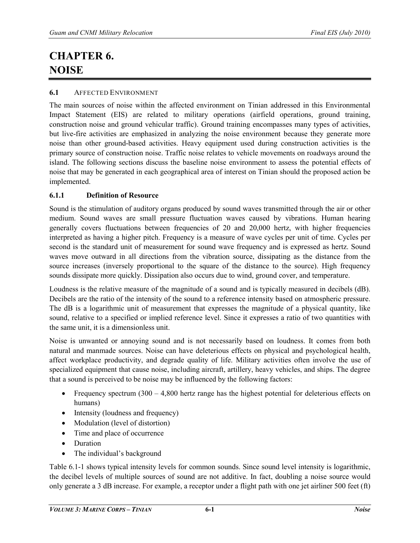# **CHAPTER 6. NOISE**

#### **6.1** AFFECTED ENVIRONMENT

The main sources of noise within the affected environment on Tinian addressed in this Environmental Impact Statement (EIS) are related to military operations (airfield operations, ground training, construction noise and ground vehicular traffic). Ground training encompasses many types of activities, but live-fire activities are emphasized in analyzing the noise environment because they generate more noise than other ground-based activities. Heavy equipment used during construction activities is the primary source of construction noise. Traffic noise relates to vehicle movements on roadways around the island. The following sections discuss the baseline noise environment to assess the potential effects of noise that may be generated in each geographical area of interest on Tinian should the proposed action be implemented.

#### **6.1.1 Definition of Resource**

Sound is the stimulation of auditory organs produced by sound waves transmitted through the air or other medium. Sound waves are small pressure fluctuation waves caused by vibrations. Human hearing generally covers fluctuations between frequencies of 20 and 20,000 hertz, with higher frequencies interpreted as having a higher pitch. Frequency is a measure of wave cycles per unit of time. Cycles per second is the standard unit of measurement for sound wave frequency and is expressed as hertz. Sound waves move outward in all directions from the vibration source, dissipating as the distance from the source increases (inversely proportional to the square of the distance to the source). High frequency sounds dissipate more quickly. Dissipation also occurs due to wind, ground cover, and temperature.

Loudness is the relative measure of the magnitude of a sound and is typically measured in decibels (dB). Decibels are the ratio of the intensity of the sound to a reference intensity based on atmospheric pressure. The dB is a [logarithmic unit](http://en.wikipedia.org/wiki/Logarithmic_units) of measurement that expresses the magnitude of a physical quantity, like sound, relative to a specified or implied reference level. Since it expresses a ratio of two quantities with the same unit, it is [a dimensionless unit.](http://en.wikipedia.org/wiki/Dimensionless_unit)

Noise is unwanted or annoying sound and is not necessarily based on loudness. It comes from both natural and manmade sources. Noise can have deleterious effects on physical and psychological health, affect workplace productivity, and degrade quality of life. Military activities often involve the use of specialized equipment that cause noise, including aircraft, artillery, heavy vehicles, and ships. The degree that a sound is perceived to be noise may be influenced by the following factors:

- Frequency spectrum  $(300 4,800$  hertz range has the highest potential for deleterious effects on humans)
- Intensity (loudness and frequency)
- Modulation (level of distortion)
- Time and place of occurrence
- Duration
- The individual's background

Table 6.1-1 shows typical intensity levels for common sounds. Since sound level intensity is logarithmic, the decibel levels of multiple sources of sound are not additive. In fact, doubling a noise source would only generate a 3 dB increase. For example, a receptor under a flight path with one jet airliner 500 feet (ft)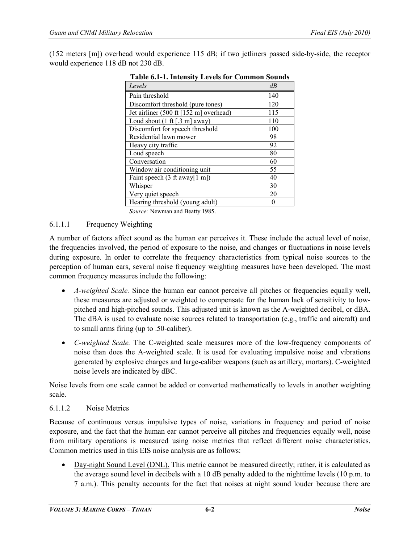(152 meters [m]) overhead would experience 115 dB; if two jetliners passed side-by-side, the receptor would experience 118 dB not 230 dB.

| Levels                                          | dB  |
|-------------------------------------------------|-----|
| Pain threshold                                  | 140 |
| Discomfort threshold (pure tones)               | 120 |
| Jet airliner (500 ft [152 m] overhead)          | 115 |
| Loud shout $(1 \text{ ft} [.3 \text{ m}]$ away) | 110 |
| Discomfort for speech threshold                 | 100 |
| Residential lawn mower                          | 98  |
| Heavy city traffic                              | 92  |
| Loud speech                                     | 80  |
| Conversation                                    | 60  |
| Window air conditioning unit                    | 55  |
| Faint speech $(3 \text{ ft away}[1 \text{ m}])$ | 40  |
| Whisper                                         | 30  |
| Very quiet speech                               | 20  |
| Hearing threshold (young adult)                 |     |

**Table 6.1-1. Intensity Levels for Common Sounds**

*Source:* Newman and Beatty 1985.

#### 6.1.1.1 Frequency Weighting

A number of factors affect sound as the human ear perceives it. These include the actual level of noise, the frequencies involved, the period of exposure to the noise, and changes or fluctuations in noise levels during exposure. In order to correlate the frequency characteristics from typical noise sources to the perception of human ears, several noise frequency weighting measures have been developed. The most common frequency measures include the following:

- *A-weighted Scale*. Since the human ear cannot perceive all pitches or frequencies equally well, these measures are adjusted or weighted to compensate for the human lack of sensitivity to lowpitched and high-pitched sounds. This adjusted unit is known as the A-weighted decibel, or dBA. The dBA is used to evaluate noise sources related to transportation (e.g., traffic and aircraft) and to small arms firing (up to .50-caliber).
- *C-weighted Scale.* The C-weighted scale measures more of the low-frequency components of noise than does the A-weighted scale. It is used for evaluating impulsive noise and vibrations generated by explosive charges and large-caliber weapons (such as artillery, mortars). C-weighted noise levels are indicated by dBC.

Noise levels from one scale cannot be added or converted mathematically to levels in another weighting scale.

#### 6.1.1.2 Noise Metrics

Because of continuous versus impulsive types of noise, variations in frequency and period of noise exposure, and the fact that the human ear cannot perceive all pitches and frequencies equally well, noise from military operations is measured using noise metrics that reflect different noise characteristics. Common metrics used in this EIS noise analysis are as follows:

• Day-night Sound Level (DNL). This metric cannot be measured directly; rather, it is calculated as the average sound level in decibels with a 10 dB penalty added to the nighttime levels (10 p.m. to 7 a.m.). This penalty accounts for the fact that noises at night sound louder because there are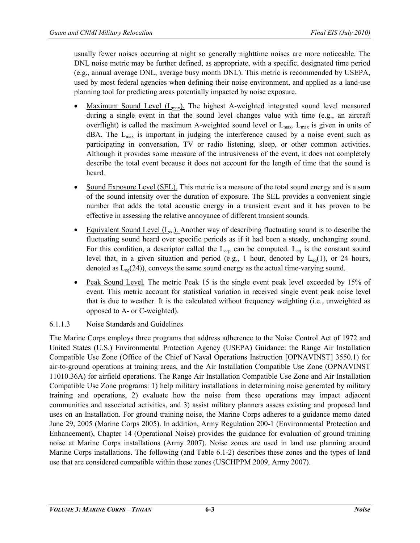usually fewer noises occurring at night so generally nighttime noises are more noticeable. The DNL noise metric may be further defined, as appropriate, with a specific, designated time period (e.g., annual average DNL, average busy month DNL). This metric is recommended by USEPA, used by most federal agencies when defining their noise environment, and applied as a land-use planning tool for predicting areas potentially impacted by noise exposure.

- Maximum Sound Level (L<sub>max</sub>). The highest A-weighted integrated sound level measured during a single event in that the sound level changes value with time (e.g., an aircraft overflight) is called the maximum A-weighted sound level or  $L_{\text{max}}$ .  $L_{\text{max}}$  is given in units of  $dBA$ . The  $L_{max}$  is important in judging the interference caused by a noise event such as participating in conversation, TV or radio listening, sleep, or other common activities. Although it provides some measure of the intrusiveness of the event, it does not completely describe the total event because it does not account for the length of time that the sound is heard.
- Sound Exposure Level (SEL). This metric is a measure of the total sound energy and is a sum of the sound intensity over the duration of exposure. The SEL provides a convenient single number that adds the total acoustic energy in a transient event and it has proven to be effective in assessing the relative annoyance of different transient sounds.
- Equivalent Sound Level  $(L_{eq})$ . Another way of describing fluctuating sound is to describe the fluctuating sound heard over specific periods as if it had been a steady, unchanging sound. For this condition, a descriptor called the  $L_{eq}$ , can be computed.  $L_{eq}$  is the constant sound level that, in a given situation and period (e.g., 1 hour, denoted by  $L_{eq}(1)$ , or 24 hours, denoted as  $L_{eq}(24)$ , conveys the same sound energy as the actual time-varying sound.
- Peak Sound Level. The metric Peak 15 is the single event peak level exceeded by 15% of event. This metric account for statistical variation in received single event peak noise level that is due to weather. It is the calculated without frequency weighting (i.e., unweighted as opposed to A- or C-weighted).

# 6.1.1.3 Noise Standards and Guidelines

The Marine Corps employs three programs that address adherence to the Noise Control Act of 1972 and United States (U.S.) Environmental Protection Agency (USEPA) Guidance: the Range Air Installation Compatible Use Zone (Office of the Chief of Naval Operations Instruction [OPNAVINST] 3550.1) for air-to-ground operations at training areas, and the Air Installation Compatible Use Zone (OPNAVINST 11010.36A) for airfield operations. The Range Air Installation Compatible Use Zone and Air Installation Compatible Use Zone programs: 1) help military installations in determining noise generated by military training and operations, 2) evaluate how the noise from these operations may impact adjacent communities and associated activities, and 3) assist military planners assess existing and proposed land uses on an Installation. For ground training noise, the Marine Corps adheres to a guidance memo dated June 29, 2005 (Marine Corps 2005). In addition, Army Regulation 200-1 (Environmental Protection and Enhancement), Chapter 14 (Operational Noise) provides the guidance for evaluation of ground training noise at Marine Corps installations (Army 2007). Noise zones are used in land use planning around Marine Corps installations. The following (and Table 6.1-2) describes these zones and the types of land use that are considered compatible within these zones (USCHPPM 2009, Army 2007).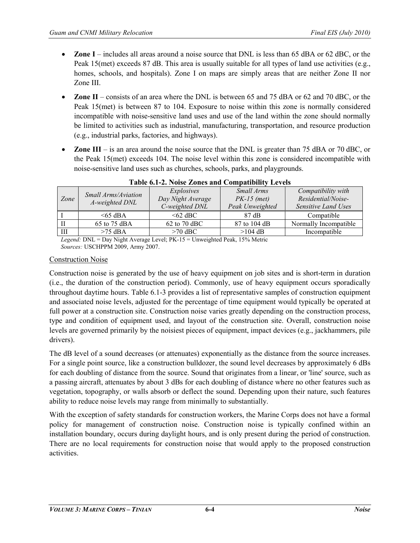- **Zone I** includes all areas around a noise source that DNL is less than 65 dBA or 62 dBC, or the Peak 15(met) exceeds 87 dB. This area is usually suitable for all types of land use activities (e.g., homes, schools, and hospitals). Zone I on maps are simply areas that are neither Zone II nor Zone III.
- **Zone II**  consists of an area where the DNL is between 65 and 75 dBA or 62 and 70 dBC, or the Peak 15(met) is between 87 to 104. Exposure to noise within this zone is normally considered incompatible with noise-sensitive land uses and use of the land within the zone should normally be limited to activities such as industrial, manufacturing, transportation, and resource production (e.g., industrial parks, factories, and highways).
- **Zone III** is an area around the noise source that the DNL is greater than 75 dBA or 70 dBC, or the Peak 15(met) exceeds 104. The noise level within this zone is considered incompatible with noise-sensitive land uses such as churches, schools, parks, and playgrounds.

| Zone | Small Arms/Aviation | Explosives<br>Day Night Average | Small Arms<br>$PK-15$ (met) | Compatibility with<br>Residential/Noise- |
|------|---------------------|---------------------------------|-----------------------------|------------------------------------------|
|      | A-weighted DNL      | C-weighted DNL                  | Peak Unweighted             | Sensitive Land Uses                      |
|      | $<65$ dBA           | $\leq 62$ dBC                   | $87 \text{ dB}$             | Compatible                               |
|      | 65 to 75 dBA        | 62 to 70 dBC                    | 87 to 104 dB                | Normally Incompatible                    |
|      | $>75$ dBA           | $>70$ dBC                       | $>104$ dB                   | Incompatible                             |

**Table 6.1-2. Noise Zones and Compatibility Levels** 

*Legend:* DNL = Day Night Average Level; PK-15 = Unweighted Peak, 15% Metric *Sources:* USCHPPM 2009, Army 2007.

#### Construction Noise

Construction noise is generated by the use of heavy equipment on job sites and is short-term in duration (i.e., the duration of the construction period). Commonly, use of heavy equipment occurs sporadically throughout daytime hours. Table 6.1-3 provides a list of representative samples of construction equipment and associated noise levels, adjusted for the percentage of time equipment would typically be operated at full power at a construction site. Construction noise varies greatly depending on the construction process, type and condition of equipment used, and layout of the construction site. Overall, construction noise levels are governed primarily by the noisiest pieces of equipment, impact devices (e.g., jackhammers, pile drivers).

The dB level of a sound decreases (or attenuates) exponentially as the distance from the source increases. For a single point source, like a construction bulldozer, the sound level decreases by approximately 6 dBs for each doubling of distance from the source. Sound that originates from a linear, or 'line' source, such as a passing aircraft, attenuates by about 3 dBs for each doubling of distance where no other features such as vegetation, topography, or walls absorb or deflect the sound. Depending upon their nature, such features ability to reduce noise levels may range from minimally to substantially.

With the exception of safety standards for construction workers, the Marine Corps does not have a formal policy for management of construction noise. Construction noise is typically confined within an installation boundary, occurs during daylight hours, and is only present during the period of construction. There are no local requirements for construction noise that would apply to the proposed construction activities.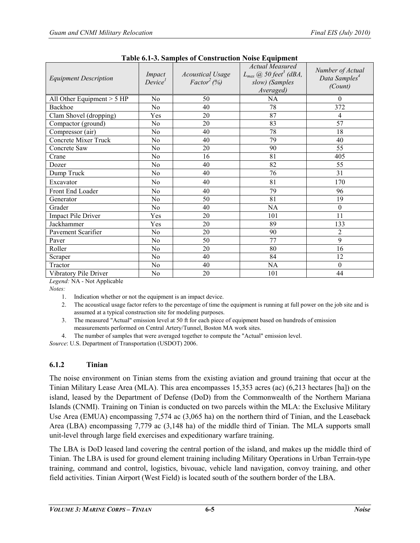| <b>Equipment Description</b> | Impact<br>Device <sup>1</sup> | <b>Acoustical Usage</b><br>$Factor^2$ (%) | <b>Actual Measured</b><br>$L_{max}$ (a) 50 feet <sup>3</sup> (dBA,<br>slow) (Samples<br>Averaged) | Number of Actual<br>Data Samples <sup>4</sup><br>(Count) |
|------------------------------|-------------------------------|-------------------------------------------|---------------------------------------------------------------------------------------------------|----------------------------------------------------------|
| All Other Equipment $> 5$ HP | N <sub>o</sub>                | 50                                        | NA                                                                                                | 0                                                        |
| Backhoe                      | No                            | 40                                        | 78                                                                                                | 372                                                      |
| Clam Shovel (dropping)       | Yes                           | 20                                        | 87                                                                                                | 4                                                        |
| Compactor (ground)           | No                            | 20                                        | 83                                                                                                | 57                                                       |
| Compressor (air)             | N <sub>0</sub>                | 40                                        | 78                                                                                                | 18                                                       |
| <b>Concrete Mixer Truck</b>  | N <sub>0</sub>                | 40                                        | 79                                                                                                | 40                                                       |
| Concrete Saw                 | No.                           | 20                                        | 90                                                                                                | 55                                                       |
| Crane                        | No                            | 16                                        | 81                                                                                                | 405                                                      |
| Dozer                        | N <sub>0</sub>                | 40                                        | 82                                                                                                | 55                                                       |
| Dump Truck                   | N <sub>0</sub>                | 40                                        | 76                                                                                                | 31                                                       |
| Excavator                    | N <sub>0</sub>                | 40                                        | 81                                                                                                | 170                                                      |
| Front End Loader             | No                            | 40                                        | 79                                                                                                | 96                                                       |
| Generator                    | N <sub>0</sub>                | 50                                        | 81                                                                                                | 19                                                       |
| Grader                       | N <sub>0</sub>                | 40                                        | NA                                                                                                | $\theta$                                                 |
| <b>Impact Pile Driver</b>    | Yes                           | 20                                        | 101                                                                                               | 11                                                       |
| Jackhammer                   | Yes                           | 20                                        | 89                                                                                                | 133                                                      |
| Pavement Scarifier           | No.                           | 20                                        | 90                                                                                                | 2                                                        |
| Paver                        | N <sub>0</sub>                | 50                                        | 77                                                                                                | 9                                                        |
| Roller                       | N <sub>0</sub>                | 20                                        | 80                                                                                                | 16                                                       |
| Scraper                      | N <sub>0</sub>                | 40                                        | 84                                                                                                | 12                                                       |
| Tractor                      | N <sub>o</sub>                | 40                                        | NA                                                                                                | 0                                                        |
| Vibratory Pile Driver        | N <sub>0</sub>                | 20                                        | 101                                                                                               | 44                                                       |

*Legend:* NA - Not Applicable

*Notes:*

1. Indication whether or not the equipment is an impact device.

2. The acoustical usage factor refers to the percentage of time the equipment is running at full power on the job site and is assumed at a typical construction site for modeling purposes.

3. The measured "Actual" emission level at 50 ft for each piece of equipment based on hundreds of emission measurements performed on Central Artery/Tunnel, Boston MA work sites.

4. The number of samples that were averaged together to compute the "Actual" emission level.

*Source*: U.S. Department of Transportation (USDOT) 2006.

# **6.1.2 Tinian**

The noise environment on Tinian stems from the existing aviation and ground training that occur at the Tinian Military Lease Area (MLA). This area encompasses 15,353 acres (ac) (6,213 hectares [ha]) on the island, leased by the Department of Defense (DoD) from the Commonwealth of the Northern Mariana Islands (CNMI). Training on Tinian is conducted on two parcels within the MLA: the Exclusive Military Use Area (EMUA) encompassing 7,574 ac (3,065 ha) on the northern third of Tinian, and the Leaseback Area (LBA) encompassing 7,779 ac (3,148 ha) of the middle third of Tinian. The MLA supports small unit-level through large field exercises and expeditionary warfare training.

The LBA is DoD leased land covering the central portion of the island, and makes up the middle third of Tinian. The LBA is used for ground element training including Military Operations in Urban Terrain-type training, command and control, logistics, bivouac, vehicle land navigation, convoy training, and other field activities. Tinian Airport (West Field) is located south of the southern border of the LBA.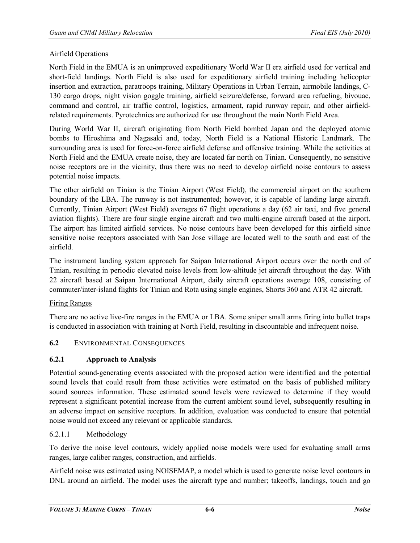## Airfield Operations

North Field in the EMUA is an unimproved expeditionary World War II era airfield used for vertical and short-field landings. North Field is also used for expeditionary airfield training including helicopter insertion and extraction, paratroops training, Military Operations in Urban Terrain, airmobile landings, C-130 cargo drops, night vision goggle training, airfield seizure/defense, forward area refueling, bivouac, command and control, air traffic control, logistics, armament, rapid runway repair, and other airfieldrelated requirements. Pyrotechnics are authorized for use throughout the main North Field Area.

During World War II, aircraft originating from North Field bombed Japan and the deployed atomic bombs to Hiroshima and Nagasaki and, today, North Field is a National Historic Landmark. The surrounding area is used for force-on-force airfield defense and offensive training. While the activities at North Field and the EMUA create noise, they are located far north on Tinian. Consequently, no sensitive noise receptors are in the vicinity, thus there was no need to develop airfield noise contours to assess potential noise impacts.

The other airfield on Tinian is the Tinian Airport (West Field), the commercial airport on the southern boundary of the LBA. The runway is not instrumented; however, it is capable of landing large aircraft. Currently, Tinian Airport (West Field) averages 67 flight operations a day (62 air taxi, and five general aviation flights). There are four single engine aircraft and two multi-engine aircraft based at the airport. The airport has limited airfield services. No noise contours have been developed for this airfield since sensitive noise receptors associated with San Jose village are located well to the south and east of the airfield.

The instrument landing system approach for Saipan International Airport occurs over the north end of Tinian, resulting in periodic elevated noise levels from low-altitude jet aircraft throughout the day. With 22 aircraft based at Saipan International Airport, daily aircraft operations average 108, consisting of commuter/inter-island flights for Tinian and Rota using single engines, Shorts 360 and ATR 42 aircraft.

#### Firing Ranges

There are no active live-fire ranges in the EMUA or LBA. Some sniper small arms firing into bullet traps is conducted in association with training at North Field, resulting in discountable and infrequent noise.

# **6.2** ENVIRONMENTAL CONSEQUENCES

# **6.2.1 Approach to Analysis**

Potential sound-generating events associated with the proposed action were identified and the potential sound levels that could result from these activities were estimated on the basis of published military sound sources information. These estimated sound levels were reviewed to determine if they would represent a significant potential increase from the current ambient sound level, subsequently resulting in an adverse impact on sensitive receptors. In addition, evaluation was conducted to ensure that potential noise would not exceed any relevant or applicable standards.

#### 6.2.1.1 Methodology

To derive the noise level contours, widely applied noise models were used for evaluating small arms ranges, large caliber ranges, construction, and airfields.

Airfield noise was estimated using NOISEMAP, a model which is used to generate noise level contours in DNL around an airfield. The model uses the aircraft type and number; takeoffs, landings, touch and go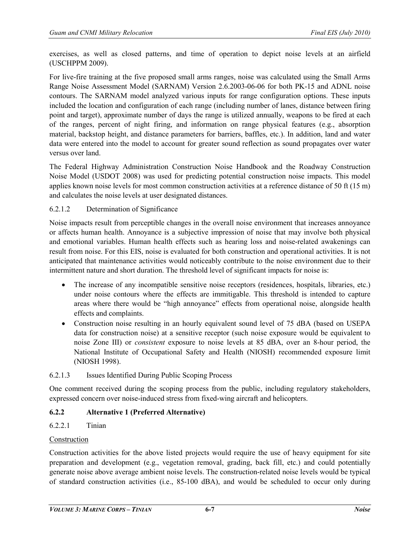exercises, as well as closed patterns, and time of operation to depict noise levels at an airfield (USCHPPM 2009).

For live-fire training at the five proposed small arms ranges, noise was calculated using the Small Arms Range Noise Assessment Model (SARNAM) Version 2.6.2003-06-06 for both PK-15 and ADNL noise contours. The SARNAM model analyzed various inputs for range configuration options. These inputs included the location and configuration of each range (including number of lanes, distance between firing point and target), approximate number of days the range is utilized annually, weapons to be fired at each of the ranges, percent of night firing, and information on range physical features (e.g., absorption material, backstop height, and distance parameters for barriers, baffles, etc.). In addition, land and water data were entered into the model to account for greater sound reflection as sound propagates over water versus over land.

The Federal Highway Administration Construction Noise Handbook and the Roadway Construction Noise Model (USDOT 2008) was used for predicting potential construction noise impacts. This model applies known noise levels for most common construction activities at a reference distance of 50 ft (15 m) and calculates the noise levels at user designated distances.

## 6.2.1.2 Determination of Significance

Noise impacts result from perceptible changes in the overall noise environment that increases annoyance or affects human health. Annoyance is a subjective impression of noise that may involve both physical and emotional variables. Human health effects such as hearing loss and noise-related awakenings can result from noise. For this EIS, noise is evaluated for both construction and operational activities. It is not anticipated that maintenance activities would noticeably contribute to the noise environment due to their intermittent nature and short duration. The threshold level of significant impacts for noise is:

- The increase of any incompatible sensitive noise receptors (residences, hospitals, libraries, etc.) under noise contours where the effects are immitigable. This threshold is intended to capture areas where there would be "high annoyance" effects from operational noise, alongside health effects and complaints.
- Construction noise resulting in an hourly equivalent sound level of 75 dBA (based on USEPA data for construction noise) at a sensitive receptor (such noise exposure would be equivalent to noise Zone III) or *consistent* exposure to noise levels at 85 dBA, over an 8-hour period, the National Institute of Occupational Safety and Health (NIOSH) recommended exposure limit (NIOSH 1998).

# 6.2.1.3 Issues Identified During Public Scoping Process

One comment received during the scoping process from the public, including regulatory stakeholders, expressed concern over noise-induced stress from fixed-wing aircraft and helicopters.

# **6.2.2 Alternative 1 (Preferred Alternative)**

# 6.2.2.1 Tinian

#### Construction

Construction activities for the above listed projects would require the use of heavy equipment for site preparation and development (e.g., vegetation removal, grading, back fill, etc.) and could potentially generate noise above average ambient noise levels. The construction-related noise levels would be typical of standard construction activities (i.e., 85-100 dBA), and would be scheduled to occur only during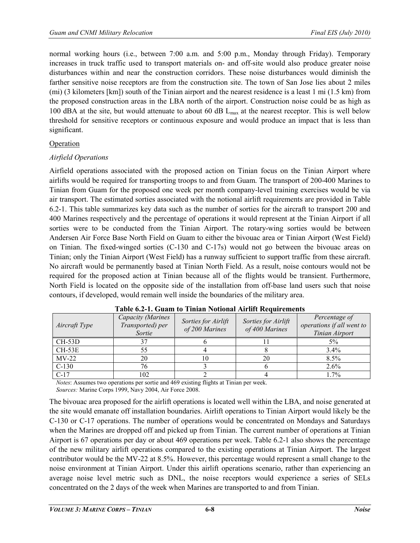normal working hours (i.e., between 7:00 a.m. and 5:00 p.m., Monday through Friday). Temporary increases in truck traffic used to transport materials on- and off-site would also produce greater noise disturbances within and near the construction corridors. These noise disturbances would diminish the farther sensitive noise receptors are from the construction site. The town of San Jose lies about 2 miles (mi) (3 kilometers [km]) south of the Tinian airport and the nearest residence is a least 1 mi (1.5 km) from the proposed construction areas in the LBA north of the airport. Construction noise could be as high as 100 dBA at the site, but would attenuate to about 60 dB L<sub>max</sub> at the nearest receptor. This is well below threshold for sensitive receptors or continuous exposure and would produce an impact that is less than significant.

## **Operation**

## *Airfield Operations*

Airfield operations associated with the proposed action on Tinian focus on the Tinian Airport where airlifts would be required for transporting troops to and from Guam. The transport of 200-400 Marines to Tinian from Guam for the proposed one week per month company-level training exercises would be via air transport. The estimated sorties associated with the notional airlift requirements are provided in Table 6.2-1. This table summarizes key data such as the number of sorties for the aircraft to transport 200 and 400 Marines respectively and the percentage of operations it would represent at the Tinian Airport if all sorties were to be conducted from the Tinian Airport. The rotary-wing sorties would be between Andersen Air Force Base North Field on Guam to either the bivouac area or Tinian Airport (West Field) on Tinian. The fixed-winged sorties (C-130 and C-17s) would not go between the bivouac areas on Tinian; only the Tinian Airport (West Field) has a runway sufficient to support traffic from these aircraft. No aircraft would be permanently based at Tinian North Field. As a result, noise contours would not be required for the proposed action at Tinian because all of the flights would be transient. Furthermore, North Field is located on the opposite side of the installation from off-base land users such that noise contours, if developed, would remain well inside the boundaries of the military area.

| Aircraft Type | Capacity (Marines<br>Transported) per<br>Sortie | Sorties for Airlift<br>of 200 Marines | Sorties for Airlift<br>of 400 Marines | Percentage of<br>operations if all went to<br>Tinian Airport |
|---------------|-------------------------------------------------|---------------------------------------|---------------------------------------|--------------------------------------------------------------|
| CH-53D        |                                                 |                                       |                                       | 5%                                                           |
| $CH-53E$      |                                                 |                                       |                                       | $3.4\%$                                                      |
| $MV-22$       | 20                                              |                                       | 20                                    | $8.5\%$                                                      |
| $C-130$       |                                                 |                                       |                                       | $2.6\%$                                                      |
| $C-17$        | 02                                              |                                       |                                       | $1.7\%$                                                      |

*Notes*: Assumes two operations per sortie and 469 existing flights at Tinian per week. *Sources:* Marine Corps 1999, Navy 2004, Air Force 2008.

The bivouac area proposed for the airlift operations is located well within the LBA, and noise generated at the site would emanate off installation boundaries. Airlift operations to Tinian Airport would likely be the C-130 or C-17 operations. The number of operations would be concentrated on Mondays and Saturdays when the Marines are dropped off and picked up from Tinian. The current number of operations at Tinian Airport is 67 operations per day or about 469 operations per week. Table 6.2-1 also shows the percentage of the new military airlift operations compared to the existing operations at Tinian Airport. The largest contributor would be the MV-22 at 8.5%. However, this percentage would represent a small change to the noise environment at Tinian Airport. Under this airlift operations scenario, rather than experiencing an average noise level metric such as DNL, the noise receptors would experience a series of SELs concentrated on the 2 days of the week when Marines are transported to and from Tinian.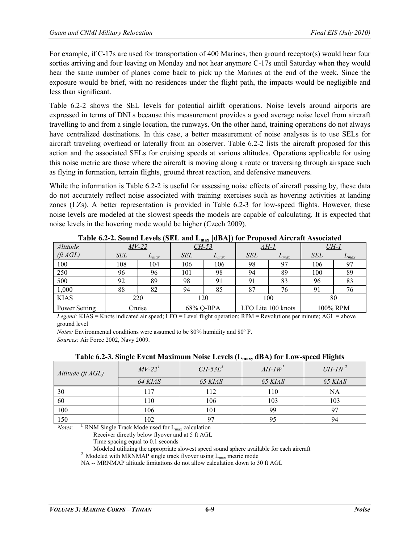For example, if C-17s are used for transportation of 400 Marines, then ground receptor(s) would hear four sorties arriving and four leaving on Monday and not hear anymore C-17s until Saturday when they would hear the same number of planes come back to pick up the Marines at the end of the week. Since the exposure would be brief, with no residences under the flight path, the impacts would be negligible and less than significant.

Table 6.2-2 shows the SEL levels for potential airlift operations. Noise levels around airports are expressed in terms of DNLs because this measurement provides a good average noise level from aircraft travelling to and from a single location, the runways. On the other hand, training operations do not always have centralized destinations. In this case, a better measurement of noise analyses is to use SELs for aircraft traveling overhead or laterally from an observer. Table 6.2-2 lists the aircraft proposed for this action and the associated SELs for cruising speeds at various altitudes. Operations applicable for using this noise metric are those where the aircraft is moving along a route or traversing through airspace such as flying in formation, terrain flights, ground threat reaction, and defensive maneuvers.

While the information is Table 6.2-2 is useful for assessing noise effects of aircraft passing by, these data do not accurately reflect noise associated with training exercises such as hovering activities at landing zones (LZs). A better representation is provided in Table 6.2-3 for low-speed flights. However, these noise levels are modeled at the slowest speeds the models are capable of calculating. It is expected that noise levels in the hovering mode would be higher (Czech 2009).

| <b>Table 0.2</b> 2. Sound EUVES (SEE and E <sub>max</sub> [abril] for Troposed rin craft rissociated |            |              |            |           |            |                    |            |             |
|------------------------------------------------------------------------------------------------------|------------|--------------|------------|-----------|------------|--------------------|------------|-------------|
| Altitude                                                                                             |            | <i>MV-22</i> |            | $CH-53$   |            | <u>AH-1</u>        |            | <u>UH-1</u> |
| $({\rm ft}\,AGL)$                                                                                    | <b>SEL</b> | $L_{max}$    | <b>SEL</b> | $L_{max}$ | <b>SEL</b> | $L_{max}$          | <b>SEL</b> | $L_{max}$   |
| 100                                                                                                  | 108        | 104          | 106        | 106       | 98         |                    | 106        | 97          |
| 250                                                                                                  | 96         | 96           | 101        | 98        | 94         | 89                 | 100        | 89          |
| 500                                                                                                  | 92         | 89           | 98         |           | 91         | 83                 | 96         | 83          |
| 1,000                                                                                                | 88         | 82           | 94         | 85        | 87         | 76                 |            | 76          |
| <b>KIAS</b>                                                                                          |            | 220          |            | 120       |            | 100                |            | 80          |
| Power Setting                                                                                        |            | Cruise       |            | 68% Q-BPA |            | LFO Lite 100 knots |            | 100% RPM    |

**Table 6.2-2. Sound Levels (SEL and Lmax [dBA]) for Proposed Aircraft Associated**

*Legend:* KIAS = Knots indicated air speed; LFO = Level flight operation; RPM = Revolutions per minute; AGL = above ground level

*Notes:* Environmental conditions were assumed to be 80% humidity and 80° F.

*Sources:* Air Force 2002, Navy 2009.

| $\frac{1}{2}$     |          |                 |              |               |  |  |  |
|-------------------|----------|-----------------|--------------|---------------|--|--|--|
| Altitude (ft AGL) | $MV-221$ | $CH-53E1$       | $AH$ -1 $W1$ | $UH$ - $IN^2$ |  |  |  |
|                   | 64 KIAS  | 65 KIAS         | 65 KIAS      | 65 KIAS       |  |  |  |
| 30                | 17       | 12              | 110          | NA            |  |  |  |
| 60                | 110      | 106             | 103          | 103           |  |  |  |
| 100               | 106      | $\overline{01}$ | 99           |               |  |  |  |
| 150               | 102      | 97              | 95           | 94            |  |  |  |

**Table 6.2-3. Single Event Maximum Noise Levels (Lmax, dBA) for Low-speed Flights**

*Notes:* <sup>1.</sup> RNM Single Track Mode used for L<sub>max</sub> calculation

Receiver directly below flyover and at 5 ft AGL

Time spacing equal to 0.1 seconds

Modeled utilizing the appropriate slowest speed sound sphere available for each aircraft  $2$ . Modeled with MRNMAP single track flyover using L<sub>max</sub> metric mode

NA -- MRNMAP altitude limitations do not allow calculation down to 30 ft AGL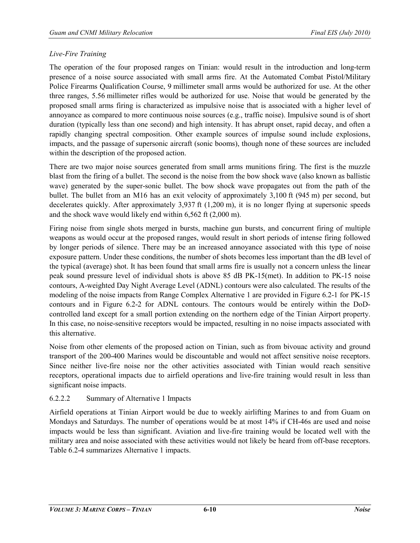## *Live-Fire Training*

The operation of the four proposed ranges on Tinian: would result in the introduction and long-term presence of a noise source associated with small arms fire. At the Automated Combat Pistol/Military Police Firearms Qualification Course, 9 millimeter small arms would be authorized for use. At the other three ranges, 5.56 millimeter rifles would be authorized for use. Noise that would be generated by the proposed small arms firing is characterized as impulsive noise that is associated with a higher level of annoyance as compared to more continuous noise sources (e.g., traffic noise). Impulsive sound is of short duration (typically less than one second) and high intensity. It has abrupt onset, rapid decay, and often a rapidly changing spectral composition. Other example sources of impulse sound include explosions, impacts, and the passage of supersonic aircraft (sonic booms), though none of these sources are included within the description of the proposed action.

There are two major noise sources generated from small arms munitions firing. The first is the muzzle blast from the firing of a bullet. The second is the noise from the bow shock wave (also known as ballistic wave) generated by the super-sonic bullet. The bow shock wave propagates out from the path of the bullet. The bullet from an M16 has an exit velocity of approximately 3,100 ft (945 m) per second, but decelerates quickly. After approximately 3,937 ft (1,200 m), it is no longer flying at supersonic speeds and the shock wave would likely end within 6,562 ft (2,000 m).

Firing noise from single shots merged in bursts, machine gun bursts, and concurrent firing of multiple weapons as would occur at the proposed ranges, would result in short periods of intense firing followed by longer periods of silence. There may be an increased annoyance associated with this type of noise exposure pattern. Under these conditions, the number of shots becomes less important than the dB level of the typical (average) shot. It has been found that small arms fire is usually not a concern unless the linear peak sound pressure level of individual shots is above 85 dB PK-15(met). In addition to PK-15 noise contours, A-weighted Day Night Average Level (ADNL) contours were also calculated. The results of the modeling of the noise impacts from Range Complex Alternative 1 are provided in Figure 6.2-1 for PK-15 contours and in Figure 6.2-2 for ADNL contours. The contours would be entirely within the DoDcontrolled land except for a small portion extending on the northern edge of the Tinian Airport property. In this case, no noise-sensitive receptors would be impacted, resulting in no noise impacts associated with this alternative.

Noise from other elements of the proposed action on Tinian, such as from bivouac activity and ground transport of the 200-400 Marines would be discountable and would not affect sensitive noise receptors. Since neither live-fire noise nor the other activities associated with Tinian would reach sensitive receptors, operational impacts due to airfield operations and live-fire training would result in less than significant noise impacts.

#### 6.2.2.2 Summary of Alternative 1 Impacts

Airfield operations at Tinian Airport would be due to weekly airlifting Marines to and from Guam on Mondays and Saturdays. The number of operations would be at most 14% if CH-46s are used and noise impacts would be less than significant. Aviation and live-fire training would be located well with the military area and noise associated with these activities would not likely be heard from off-base receptors. Table 6.2-4 summarizes Alternative 1 impacts.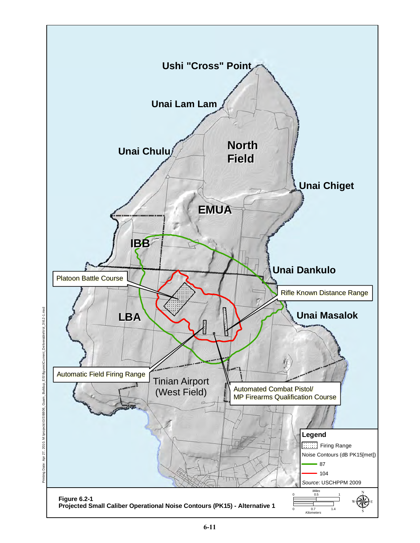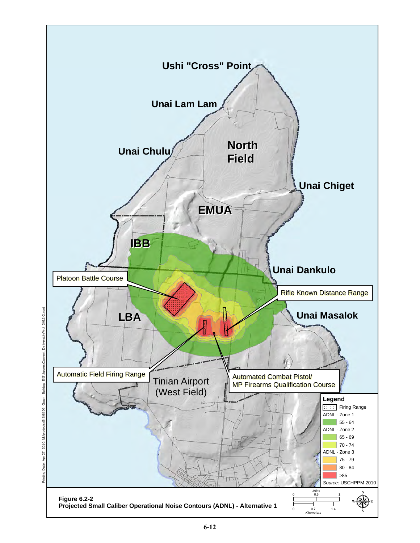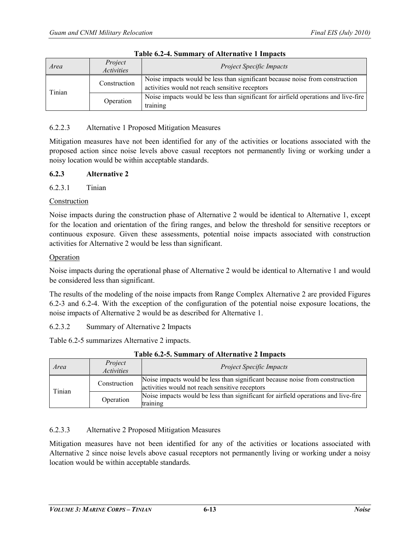| Area   | Project<br><i>Activities</i> | <b>Project Specific Impacts</b>                                                                                                |
|--------|------------------------------|--------------------------------------------------------------------------------------------------------------------------------|
| Tinian | Construction                 | Noise impacts would be less than significant because noise from construction<br>activities would not reach sensitive receptors |
|        | Operation                    | Noise impacts would be less than significant for airfield operations and live-fire<br>training                                 |

#### **Table 6.2-4. Summary of Alternative 1 Impacts**

#### 6.2.2.3 Alternative 1 Proposed Mitigation Measures

Mitigation measures have not been identified for any of the activities or locations associated with the proposed action since noise levels above casual receptors not permanently living or working under a noisy location would be within acceptable standards.

## **6.2.3 Alternative 2**

## 6.2.3.1 Tinian

## Construction

Noise impacts during the construction phase of Alternative 2 would be identical to Alternative 1, except for the location and orientation of the firing ranges, and below the threshold for sensitive receptors or continuous exposure. Given these assessments, potential noise impacts associated with construction activities for Alternative 2 would be less than significant.

## Operation

Noise impacts during the operational phase of Alternative 2 would be identical to Alternative 1 and would be considered less than significant.

The results of the modeling of the noise impacts from Range Complex Alternative 2 are provided Figures 6.2-3 and 6.2-4. With the exception of the configuration of the potential noise exposure locations, the noise impacts of Alternative 2 would be as described for Alternative 1.

6.2.3.2 Summary of Alternative 2 Impacts

Table 6.2-5 summarizes Alternative 2 impacts.

| TWATER AND AN AMERICAN AND THE STATE OF THE PROPERTY OF THE PROPERTY OF THE PROPERTY OF THE PARTY OF THE PROPERTY OF THE PARTY OF THE PARTY OF THE PARTY OF THE PARTY OF THE PARTY OF THE PARTY OF THE PARTY OF THE PARTY OF T |                              |                                                                                                                                |  |  |
|--------------------------------------------------------------------------------------------------------------------------------------------------------------------------------------------------------------------------------|------------------------------|--------------------------------------------------------------------------------------------------------------------------------|--|--|
| Area                                                                                                                                                                                                                           | Project<br><i>Activities</i> | <b>Project Specific Impacts</b>                                                                                                |  |  |
| Tinian                                                                                                                                                                                                                         | Construction                 | Noise impacts would be less than significant because noise from construction<br>activities would not reach sensitive receptors |  |  |
|                                                                                                                                                                                                                                | Operation                    | Noise impacts would be less than significant for airfield operations and live-fire<br>training                                 |  |  |

#### **Table 6.2-5. Summary of Alternative 2 Impacts**

#### 6.2.3.3 Alternative 2 Proposed Mitigation Measures

Mitigation measures have not been identified for any of the activities or locations associated with Alternative 2 since noise levels above casual receptors not permanently living or working under a noisy location would be within acceptable standards.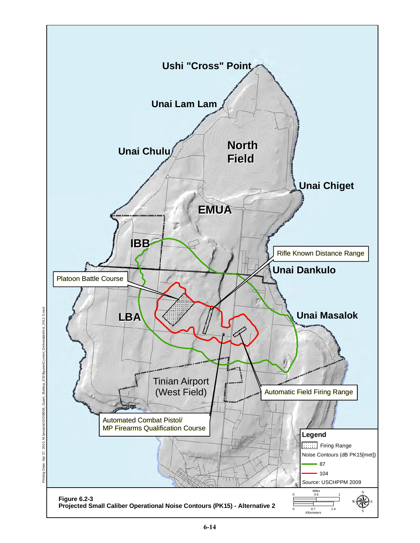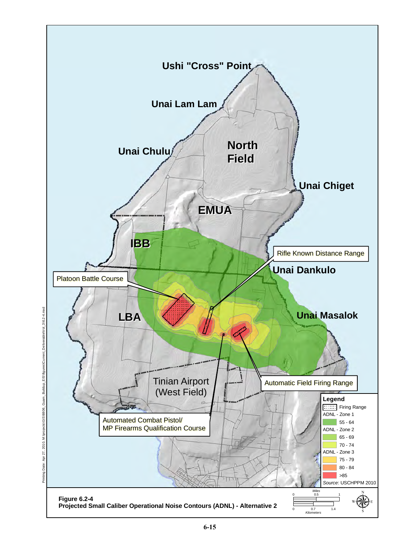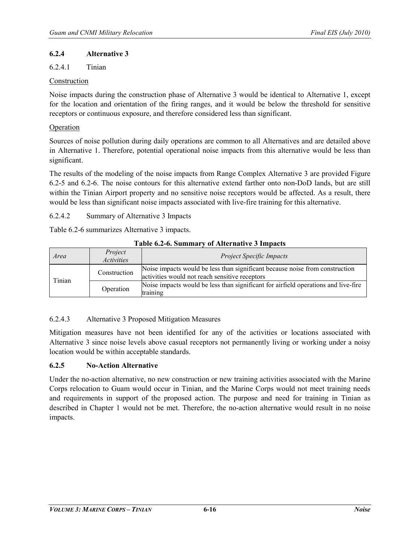#### **6.2.4 Alternative 3**

#### 6.2.4.1 Tinian

#### Construction

Noise impacts during the construction phase of Alternative 3 would be identical to Alternative 1, except for the location and orientation of the firing ranges, and it would be below the threshold for sensitive receptors or continuous exposure, and therefore considered less than significant.

#### Operation

Sources of noise pollution during daily operations are common to all Alternatives and are detailed above in Alternative 1. Therefore, potential operational noise impacts from this alternative would be less than significant.

The results of the modeling of the noise impacts from Range Complex Alternative 3 are provided Figure 6.2-5 and 6.2-6. The noise contours for this alternative extend farther onto non-DoD lands, but are still within the Tinian Airport property and no sensitive noise receptors would be affected. As a result, there would be less than significant noise impacts associated with live-fire training for this alternative.

6.2.4.2 Summary of Alternative 3 Impacts

Table 6.2-6 summarizes Alternative 3 impacts.

| Area   | Project<br><i>Activities</i> | <b>Project Specific Impacts</b>                                                                                                |  |
|--------|------------------------------|--------------------------------------------------------------------------------------------------------------------------------|--|
| Tinian | Construction                 | Noise impacts would be less than significant because noise from construction<br>activities would not reach sensitive receptors |  |
|        | Operation                    | Noise impacts would be less than significant for airfield operations and live-fire<br>training                                 |  |

#### **Table 6.2-6. Summary of Alternative 3 Impacts**

# 6.2.4.3 Alternative 3 Proposed Mitigation Measures

Mitigation measures have not been identified for any of the activities or locations associated with Alternative 3 since noise levels above casual receptors not permanently living or working under a noisy location would be within acceptable standards.

#### **6.2.5 No-Action Alternative**

Under the no-action alternative, no new construction or new training activities associated with the Marine Corps relocation to Guam would occur in Tinian, and the Marine Corps would not meet training needs and requirements in support of the proposed action. The purpose and need for training in Tinian as described in Chapter 1 would not be met. Therefore, the no-action alternative would result in no noise impacts.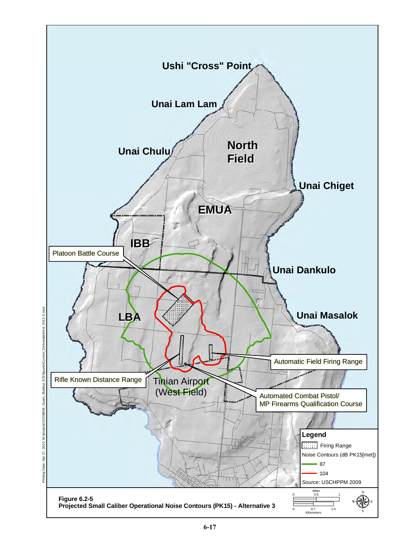

Deliverable\Vol\_3\6.2-5.mxd Printing Date: Apr 27, 2010, M:\projects\GIS\8806\_Guam\_Buildup\_EIS\figures\Current\_Deliverable\Vol\_3\6.2-5.mxd Buildup\_EIS\fi Guam 31S\8806 : Apr 27, 2010, M:\pro Printing Date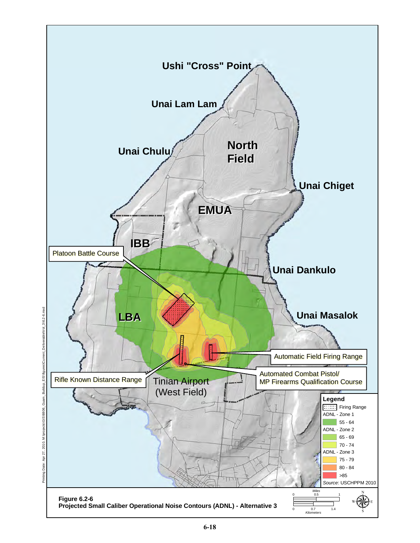

ent\_Deliverable\Vol\_3\6.2-6.mxd Printing Date: Apr 27, 2010, M:\projects\GIS\8806\_Guam\_Buildup\_EIS\figures\Current\_Deliverable\Vol\_3\6.2-6.mxd Guam\_Buildup\_EIS\fig **GIS\8806** Printing Date: Apr 27, 2010, M:\projec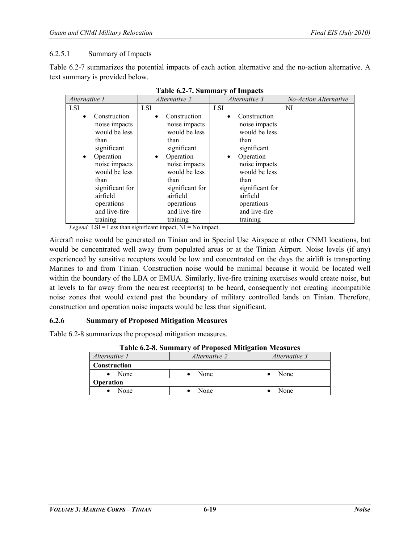#### 6.2.5.1 Summary of Impacts

Table 6.2-7 summarizes the potential impacts of each action alternative and the no-action alternative. A text summary is provided below.

| Alternative 1   | Alternative 2   | Alternative 3   | No-Action Alternative |
|-----------------|-----------------|-----------------|-----------------------|
| <b>LSI</b>      | <b>LSI</b>      | <b>LSI</b>      | NI                    |
| Construction    | Construction    | Construction    |                       |
| $\bullet$       | $\bullet$       | $\bullet$       |                       |
| noise impacts   | noise impacts   | noise impacts   |                       |
| would be less   | would be less   | would be less   |                       |
| than            | than            | than            |                       |
| significant     | significant     | significant     |                       |
| Operation       | Operation       | Operation       |                       |
| $\bullet$       | $\bullet$       | $\bullet$       |                       |
| noise impacts   | noise impacts   | noise impacts   |                       |
| would be less   | would be less   | would be less   |                       |
| than            | than            | than            |                       |
| significant for | significant for | significant for |                       |
| airfield        | airfield        | airfield        |                       |
| operations      | operations      | operations      |                       |
| and live-fire   | and live-fire   | and live-fire   |                       |
| training        | training        | training        |                       |

|  |  | <b>Table 6.2-7. Summary of Impacts</b> |  |  |
|--|--|----------------------------------------|--|--|
|--|--|----------------------------------------|--|--|

*Legend:* LSI = Less than significant impact, NI = No impact.

Aircraft noise would be generated on Tinian and in Special Use Airspace at other CNMI locations, but would be concentrated well away from populated areas or at the Tinian Airport. Noise levels (if any) experienced by sensitive receptors would be low and concentrated on the days the airlift is transporting Marines to and from Tinian. Construction noise would be minimal because it would be located well within the boundary of the LBA or EMUA. Similarly, live-fire training exercises would create noise, but at levels to far away from the nearest receptor(s) to be heard, consequently not creating incompatible noise zones that would extend past the boundary of military controlled lands on Tinian. Therefore, construction and operation noise impacts would be less than significant.

#### **6.2.6 Summary of Proposed Mitigation Measures**

Table 6.2-8 summarizes the proposed mitigation measures.

| - - - - - - - - - - - - - - - - |                      |               |  |  |  |
|---------------------------------|----------------------|---------------|--|--|--|
| Alternative 1                   | <i>Alternative 2</i> | Alternative 3 |  |  |  |
| Construction                    |                      |               |  |  |  |
| None                            | None                 | None          |  |  |  |
| <b>Operation</b>                |                      |               |  |  |  |
| None                            | None                 | None          |  |  |  |

**Table 6.2-8. Summary of Proposed Mitigation Measures**